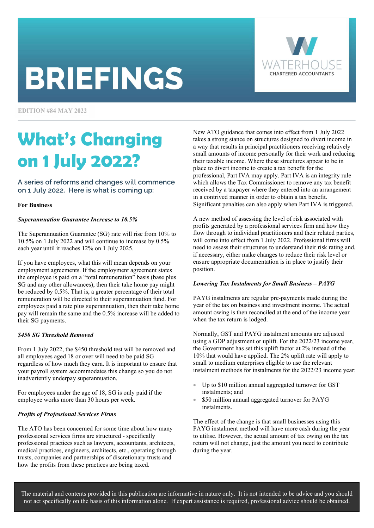# **BRIEFINGS**



**EDITION #84 MAY 2022** 

### What's Changing on 1 July 2022?

A series of reforms and changes will commence on 1 July 2022. Here is what is coming up:

#### For Business

#### Superannuation Guarantee Increase to 10.5%

The Superannuation Guarantee (SG) rate will rise from 10% to 10.5% on 1 July 2022 and will continue to increase by 0.5% each year until it reaches 12% on 1 July 2025.

If you have employees, what this will mean depends on your employment agreements. If the employment agreement states the employee is paid on a "total remuneration" basis (base plus SG and any other allowances), then their take home pay might be reduced by 0.5%. That is, a greater percentage of their total remuneration will be directed to their superannuation fund. For employees paid a rate plus superannuation, then their take home pay will remain the same and the 0.5% increase will be added to their SG payments.

#### \$450 SG Threshold Removed

From 1 July 2022, the \$450 threshold test will be removed and all employees aged 18 or over will need to be paid SG regardless of how much they earn. It is important to ensure that your payroll system accommodates this change so you do not inadvertently underpay superannuation.

For employees under the age of 18, SG is only paid if the employee works more than 30 hours per week.

#### Profits of Professional Services Firms

The ATO has been concerned for some time about how many professional services firms are structured - specifically professional practices such as lawyers, accountants, architects, medical practices, engineers, architects, etc., operating through trusts, companies and partnerships of discretionary trusts and how the profits from these practices are being taxed.

New ATO guidance that comes into effect from 1 July 2022 takes a strong stance on structures designed to divert income in a way that results in principal practitioners receiving relatively small amounts of income personally for their work and reducing their taxable income. Where these structures appear to be in place to divert income to create a tax benefit for the professional, Part IVA may apply. Part IVA is an integrity rule which allows the Tax Commissioner to remove any tax benefit received by a taxpayer where they entered into an arrangement in a contrived manner in order to obtain a tax benefit. Significant penalties can also apply when Part IVA is triggered.

A new method of assessing the level of risk associated with profits generated by a professional services firm and how they flow through to individual practitioners and their related parties, will come into effect from 1 July 2022. Professional firms will need to assess their structures to understand their risk rating and, if necessary, either make changes to reduce their risk level or ensure appropriate documentation is in place to justify their position.

#### Lowering Tax Instalments for Small Business – PAYG

PAYG instalments are regular pre-payments made during the year of the tax on business and investment income. The actual amount owing is then reconciled at the end of the income year when the tax return is lodged.

Normally, GST and PAYG instalment amounts are adjusted using a GDP adjustment or uplift. For the 2022/23 income year, the Government has set this uplift factor at 2% instead of the 10% that would have applied. The 2% uplift rate will apply to small to medium enterprises eligible to use the relevant instalment methods for instalments for the 2022/23 income year:

- Up to \$10 million annual aggregated turnover for GST instalments; and
- \$50 million annual aggregated turnover for PAYG instalments.

The effect of the change is that small businesses using this PAYG instalment method will have more cash during the year to utilise. However, the actual amount of tax owing on the tax return will not change, just the amount you need to contribute during the year.

The material and contents provided in this publication are informative in nature only. It is not intended to be advice and you should not act specifically on the basis of this information alone. If expert assistance is required, professional advice should be obtained.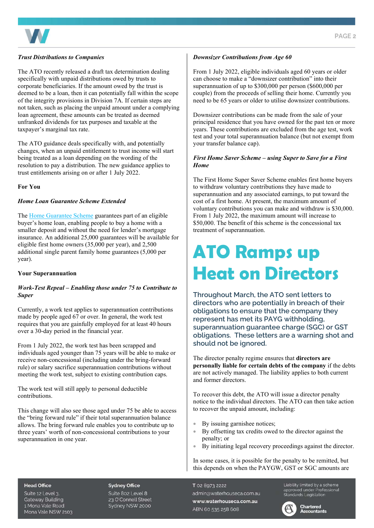

#### Trust Distributions to Companies

The ATO recently released a draft tax determination dealing specifically with unpaid distributions owed by trusts to corporate beneficiaries. If the amount owed by the trust is deemed to be a loan, then it can potentially fall within the scope of the integrity provisions in Division 7A. If certain steps are not taken, such as placing the unpaid amount under a complying loan agreement, these amounts can be treated as deemed unfranked dividends for tax purposes and taxable at the taxpayer's marginal tax rate.

The ATO guidance deals specifically with, and potentially changes, when an unpaid entitlement to trust income will start being treated as a loan depending on the wording of the resolution to pay a distribution. The new guidance applies to trust entitlements arising on or after 1 July 2022.

#### For You

#### Home Loan Guarantee Scheme Extended

The Home Guarantee Scheme guarantees part of an eligible buyer's home loan, enabling people to buy a home with a smaller deposit and without the need for lender's mortgage insurance. An additional 25,000 guarantees will be available for eligible first home owners (35,000 per year), and 2,500 additional single parent family home guarantees (5,000 per year).

#### Your Superannuation

#### Work-Test Repeal – Enabling those under 75 to Contribute to Super

Currently, a work test applies to superannuation contributions made by people aged 67 or over. In general, the work test requires that you are gainfully employed for at least 40 hours over a 30-day period in the financial year.

From 1 July 2022, the work test has been scrapped and individuals aged younger than 75 years will be able to make or receive non-concessional (including under the bring-forward rule) or salary sacrifice superannuation contributions without meeting the work test, subject to existing contribution caps.

The work test will still apply to personal deductible contributions.

This change will also see those aged under 75 be able to access the "bring forward rule" if their total superannuation balance allows. The bring forward rule enables you to contribute up to three years' worth of non-concessional contributions to your superannuation in one year.

#### Downsizer Contributions from Age 60

From 1 July 2022, eligible individuals aged 60 years or older can choose to make a "downsizer contribution" into their superannuation of up to \$300,000 per person (\$600,000 per couple) from the proceeds of selling their home. Currently you need to be 65 years or older to utilise downsizer contributions.

Downsizer contributions can be made from the sale of your principal residence that you have owned for the past ten or more years. These contributions are excluded from the age test, work test and your total superannuation balance (but not exempt from your transfer balance cap).

#### First Home Saver Scheme – using Super to Save for a First Home

The First Home Super Saver Scheme enables first home buyers to withdraw voluntary contributions they have made to superannuation and any associated earnings, to put toward the cost of a first home. At present, the maximum amount of voluntary contributions you can make and withdraw is \$30,000. From 1 July 2022, the maximum amount will increase to \$50,000. The benefit of this scheme is the concessional tax treatment of superannuation.

### ATO Ramps up Heat on Directors

Throughout March, the ATO sent letters to directors who are potentially in breach of their obligations to ensure that the company they represent has met its PAYG withholding, superannuation guarantee charge (SGC) or GST obligations. These letters are a warning shot and should not be ignored.

The director penalty regime ensures that directors are personally liable for certain debts of the company if the debts are not actively managed. The liability applies to both current and former directors.

To recover this debt, the ATO will issue a director penalty notice to the individual directors. The ATO can then take action to recover the unpaid amount, including:

- By issuing garnishee notices;
- By offsetting tax credits owed to the director against the penalty; or
- By initiating legal recovery proceedings against the director.

In some cases, it is possible for the penalty to be remitted, but this depends on when the PAYGW, GST or SGC amounts are

#### **Head Office**

Suite 12 Level 3. **Gateway Building** 1 Mona Vale Road Mona Vale NSW 2103

#### **Sydney Office**

Suite 802 Level 8 23 O'Connell Street Sydney NSW 2000 T 02 8973 2222 admin@waterhouseca.com.au www.waterhouseca.com.au ABN 60 535 258 608

Liability limited by a scheme Lidbility immedially discribing<br>approved under Professional<br>Standards Legislation

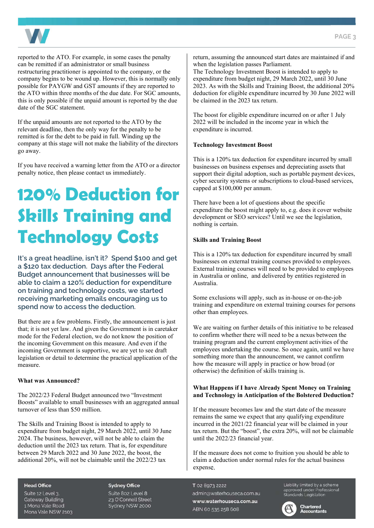



reported to the ATO. For example, in some cases the penalty can be remitted if an administrator or small business restructuring practitioner is appointed to the company, or the company begins to be wound up. However, this is normally only possible for PAYGW and GST amounts if they are reported to the ATO within three months of the due date. For SGC amounts, this is only possible if the unpaid amount is reported by the due date of the SGC statement.

If the unpaid amounts are not reported to the ATO by the relevant deadline, then the only way for the penalty to be remitted is for the debt to be paid in full. Winding up the company at this stage will not make the liability of the directors go away.

If you have received a warning letter from the ATO or a director penalty notice, then please contact us immediately.

### 120% Deduction for Skills Training and Technology Costs

It's a great headline, isn't it? Spend \$100 and get a \$120 tax deduction. Days after the Federal Budget announcement that businesses will be able to claim a 120% deduction for expenditure on training and technology costs, we started receiving marketing emails encouraging us to spend now to access the deduction.

But there are a few problems. Firstly, the announcement is just that; it is not yet law. And given the Government is in caretaker mode for the Federal election, we do not know the position of the incoming Government on this measure. And even if the incoming Government is supportive, we are yet to see draft legislation or detail to determine the practical application of the measure.

#### What was Announced?

The 2022/23 Federal Budget announced two "Investment Boosts" available to small businesses with an aggregated annual turnover of less than \$50 million.

The Skills and Training Boost is intended to apply to expenditure from budget night, 29 March 2022, until 30 June 2024. The business, however, will not be able to claim the deduction until the 2023 tax return. That is, for expenditure between 29 March 2022 and 30 June 2022, the boost, the additional 20%, will not be claimable until the 2022/23 tax

#### **Head Office**

Suite 12 Level 3. **Gateway Building** 1 Mona Vale Road Mona Vale NSW 2103

#### **Sydney Office**

Suite 802 Level 8 23 O'Connell Street Sydney NSW 2000

return, assuming the announced start dates are maintained if and when the legislation passes Parliament.

The Technology Investment Boost is intended to apply to expenditure from budget night, 29 March 2022, until 30 June 2023. As with the Skills and Training Boost, the additional 20% deduction for eligible expenditure incurred by 30 June 2022 will be claimed in the 2023 tax return.

The boost for eligible expenditure incurred on or after 1 July 2022 will be included in the income year in which the expenditure is incurred.

#### Technology Investment Boost

This is a 120% tax deduction for expenditure incurred by small businesses on business expenses and depreciating assets that support their digital adoption, such as portable payment devices, cyber security systems or subscriptions to cloud-based services, capped at \$100,000 per annum.

There have been a lot of questions about the specific expenditure the boost might apply to, e.g. does it cover website development or SEO services? Until we see the legislation, nothing is certain.

#### Skills and Training Boost

This is a 120% tax deduction for expenditure incurred by small businesses on external training courses provided to employees. External training courses will need to be provided to employees in Australia or online, and delivered by entities registered in Australia.

Some exclusions will apply, such as in-house or on-the-job training and expenditure on external training courses for persons other than employees.

We are waiting on further details of this initiative to be released to confirm whether there will need to be a nexus between the training program and the current employment activities of the employees undertaking the course. So once again, until we have something more than the announcement, we cannot confirm how the measure will apply in practice or how broad (or otherwise) the definition of skills training is.

#### What Happens if I have Already Spent Money on Training and Technology in Anticipation of the Bolstered Deduction?

If the measure becomes law and the start date of the measure remains the same we expect that any qualifying expenditure incurred in the 2021/22 financial year will be claimed in your tax return. But the "boost", the extra 20%, will not be claimable until the 2022/23 financial year.

If the measure does not come to fruition you should be able to claim a deduction under normal rules for the actual business expense.

T 02 8973 2222 admin@waterhouseca.com.au www.waterhouseca.com.au ABN 60 535 258 608

Liability limited by a scheme approved under Professional<br>Standards Legislation



**Chartered Accountants**